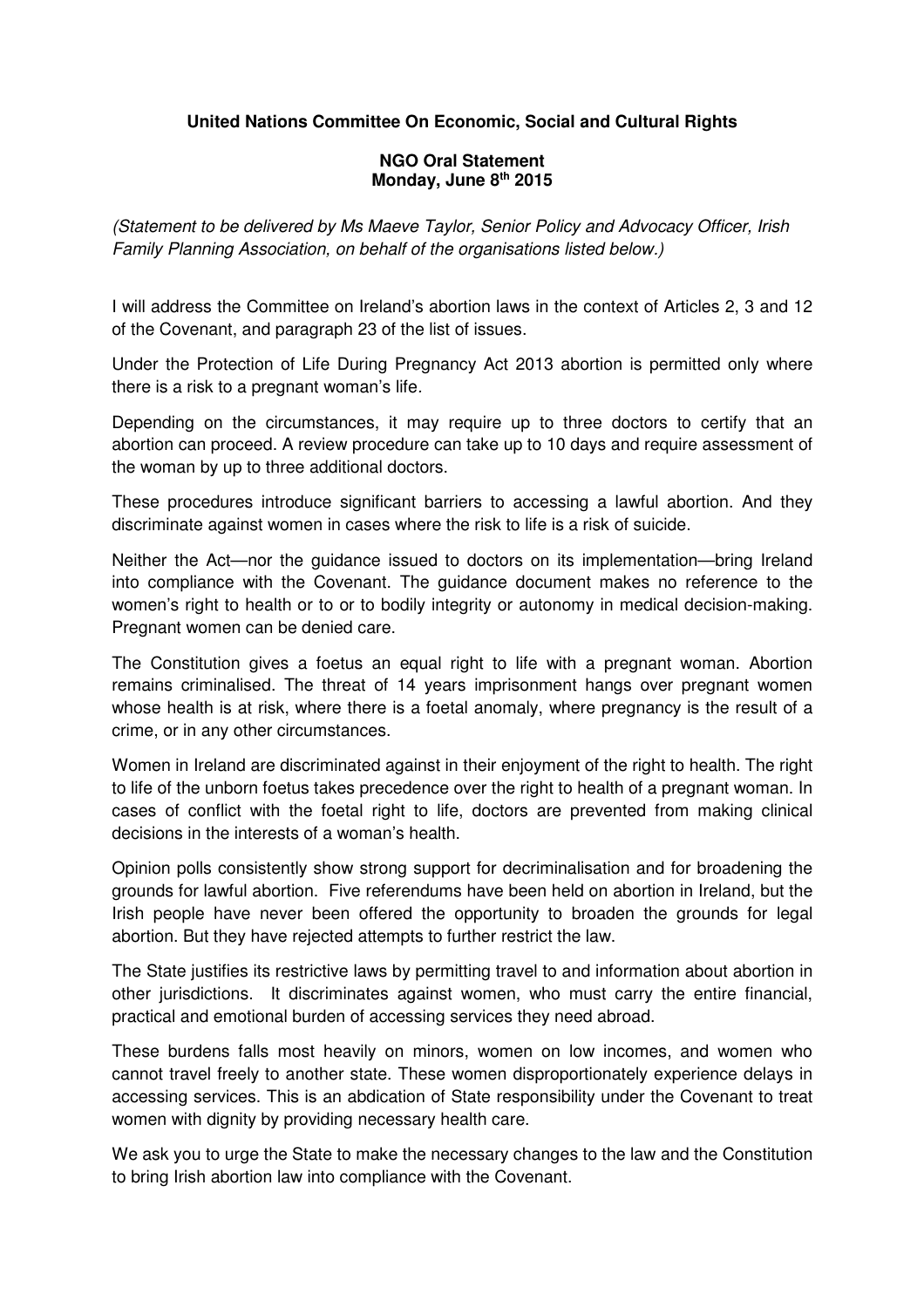## **United Nations Committee On Economic, Social and Cultural Rights**

## **NGO Oral Statement Monday, June 8th 2015**

(Statement to be delivered by Ms Maeve Taylor, Senior Policy and Advocacy Officer, Irish Family Planning Association, on behalf of the organisations listed below.)

I will address the Committee on Ireland's abortion laws in the context of Articles 2, 3 and 12 of the Covenant, and paragraph 23 of the list of issues.

Under the Protection of Life During Pregnancy Act 2013 abortion is permitted only where there is a risk to a pregnant woman's life.

Depending on the circumstances, it may require up to three doctors to certify that an abortion can proceed. A review procedure can take up to 10 days and require assessment of the woman by up to three additional doctors.

These procedures introduce significant barriers to accessing a lawful abortion. And they discriminate against women in cases where the risk to life is a risk of suicide.

Neither the Act—nor the guidance issued to doctors on its implementation—bring Ireland into compliance with the Covenant. The guidance document makes no reference to the women's right to health or to or to bodily integrity or autonomy in medical decision-making. Pregnant women can be denied care.

The Constitution gives a foetus an equal right to life with a pregnant woman. Abortion remains criminalised. The threat of 14 years imprisonment hangs over pregnant women whose health is at risk, where there is a foetal anomaly, where pregnancy is the result of a crime, or in any other circumstances.

Women in Ireland are discriminated against in their enjoyment of the right to health. The right to life of the unborn foetus takes precedence over the right to health of a pregnant woman. In cases of conflict with the foetal right to life, doctors are prevented from making clinical decisions in the interests of a woman's health.

Opinion polls consistently show strong support for decriminalisation and for broadening the grounds for lawful abortion. Five referendums have been held on abortion in Ireland, but the Irish people have never been offered the opportunity to broaden the grounds for legal abortion. But they have rejected attempts to further restrict the law.

The State justifies its restrictive laws by permitting travel to and information about abortion in other jurisdictions. It discriminates against women, who must carry the entire financial, practical and emotional burden of accessing services they need abroad.

These burdens falls most heavily on minors, women on low incomes, and women who cannot travel freely to another state. These women disproportionately experience delays in accessing services. This is an abdication of State responsibility under the Covenant to treat women with dignity by providing necessary health care.

We ask you to urge the State to make the necessary changes to the law and the Constitution to bring Irish abortion law into compliance with the Covenant.